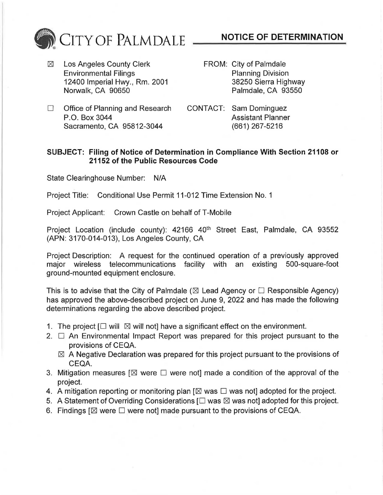

IZI Los Angeles County Clerk Environmental Filings 12400 Imperial Hwy., Rm. 2001 Norwalk, CA 90650

- **NOTICE OF DETERMINATION**
- FROM: City of Palmdale Planning Division 38250 Sierra Highway Palmdale, CA 93550
- $\Box$  Office of Planning and Research P.O. Box 3044 Sacramento, CA 95812-3044
- CONTACT: Sam Dominguez Assistant Planner (661) 267-5216

## **SUBJECT: Filing of Notice of Determination in Compliance With Section 21108 or 21152 of the Public Resources Code**

State Clearinghouse Number: N/A

Project Title: Conditional Use Permit 11-012 Time Extension No. 1

Project Applicant: Crown Castle on behalf of T-Mobile

Project Location (include county): 42166 40<sup>th</sup> Street East, Palmdale, CA 93552 (APN: 3170-014-013), Los Angeles County, CA

Project Description: A request for the continued operation of a previously approved major wireless telecommunications facility with an existing 500-square-foot ground-mounted equipment enclosure.

This is to advise that the City of Palmdale ( $\boxtimes$  Lead Agency or  $\Box$  Responsible Agency) has approved the above-described project on June 9, 2022 and has made the following determinations regarding the above described project.

- 1. The project  $[\Box$  will  $\boxtimes$  will not] have a significant effect on the environment.
- 2.  $\Box$  An Environmental Impact Report was prepared for this project pursuant to the provisions of CEQA.
	- $\boxtimes$  A Negative Declaration was prepared for this project pursuant to the provisions of CEQA.
- 3. Mitigation measures  $[\boxtimes]$  were  $\square$  were not] made a condition of the approval of the project.
- 4. A mitigation reporting or monitoring plan  $\boxtimes$  was  $\square$  was not] adopted for the project.
- 5. A Statement of Overriding Considerations  $[\Box$  was  $\boxtimes$  was not] adopted for this project.
- 6. Findings  $I\boxtimes$  were  $\Box$  were notl made pursuant to the provisions of CEQA.